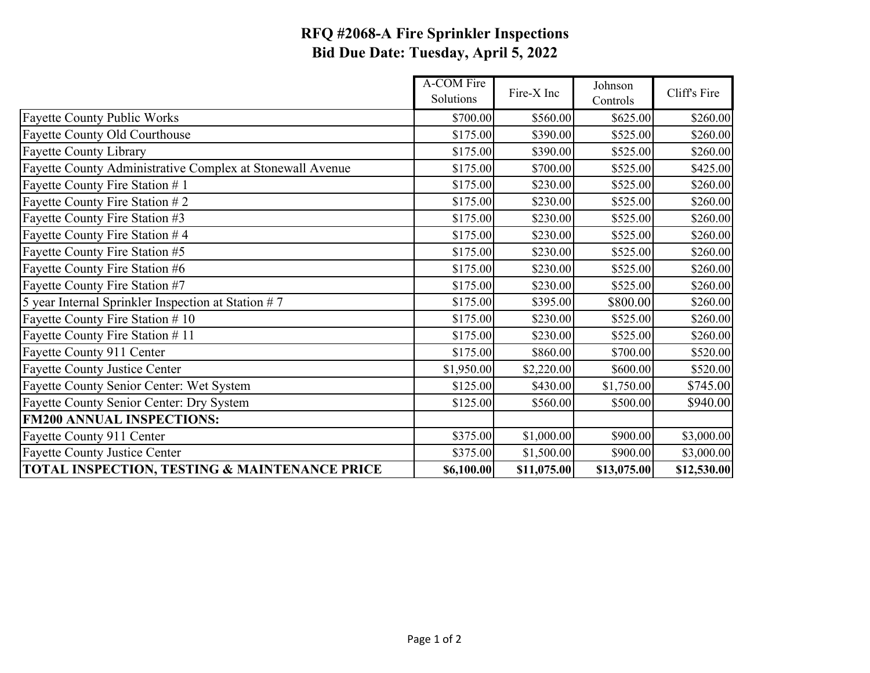## **RFQ #2068-A Fire Sprinkler Inspections Bid Due Date: Tuesday, April 5, 2022**

|                                                           | A-COM Fire<br>Solutions | Fire-X Inc  | Johnson<br>Controls | Cliff's Fire |
|-----------------------------------------------------------|-------------------------|-------------|---------------------|--------------|
| <b>Fayette County Public Works</b>                        | \$700.00                | \$560.00    | \$625.00            | \$260.00     |
| Fayette County Old Courthouse                             | \$175.00                | \$390.00    | \$525.00            | \$260.00     |
| <b>Fayette County Library</b>                             | \$175.00                | \$390.00    | \$525.00            | \$260.00     |
| Fayette County Administrative Complex at Stonewall Avenue | \$175.00                | \$700.00    | \$525.00            | \$425.00     |
| Fayette County Fire Station #1                            | \$175.00                | \$230.00    | \$525.00            | \$260.00     |
| Fayette County Fire Station #2                            | \$175.00                | \$230.00    | \$525.00            | \$260.00     |
| Fayette County Fire Station #3                            | \$175.00                | \$230.00    | \$525.00            | \$260.00     |
| Fayette County Fire Station #4                            | \$175.00                | \$230.00    | \$525.00            | \$260.00     |
| Fayette County Fire Station #5                            | \$175.00                | \$230.00    | \$525.00            | \$260.00     |
| Fayette County Fire Station #6                            | \$175.00                | \$230.00    | \$525.00            | \$260.00     |
| Fayette County Fire Station #7                            | \$175.00                | \$230.00    | \$525.00            | \$260.00     |
| 5 year Internal Sprinkler Inspection at Station $# 7$     | \$175.00                | \$395.00    | \$800.00            | \$260.00     |
| Fayette County Fire Station # 10                          | \$175.00                | \$230.00    | \$525.00            | \$260.00     |
| Fayette County Fire Station #11                           | \$175.00                | \$230.00    | \$525.00            | \$260.00     |
| Fayette County 911 Center                                 | \$175.00                | \$860.00    | \$700.00            | \$520.00     |
| <b>Fayette County Justice Center</b>                      | \$1,950.00              | \$2,220.00  | \$600.00            | \$520.00     |
| Fayette County Senior Center: Wet System                  | \$125.00                | \$430.00    | \$1,750.00          | \$745.00     |
| Fayette County Senior Center: Dry System                  | \$125.00                | \$560.00    | \$500.00            | \$940.00     |
| <b>FM200 ANNUAL INSPECTIONS:</b>                          |                         |             |                     |              |
| Fayette County 911 Center                                 | \$375.00                | \$1,000.00  | \$900.00            | \$3,000.00   |
| <b>Fayette County Justice Center</b>                      | \$375.00                | \$1,500.00  | \$900.00            | \$3,000.00   |
| TOTAL INSPECTION, TESTING & MAINTENANCE PRICE             | \$6,100.00              | \$11,075.00 | \$13,075.00         | \$12,530.00  |